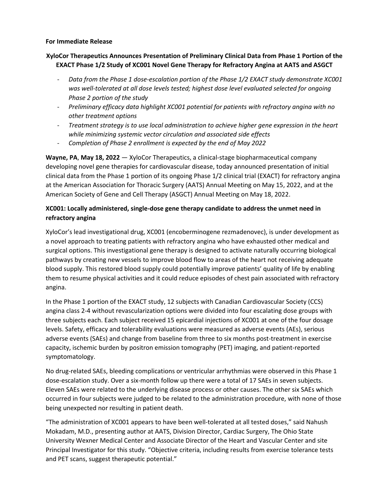## **For Immediate Release**

## **XyloCor Therapeutics Announces Presentation of Preliminary Clinical Data from Phase 1 Portion of the EXACT Phase 1/2 Study of XC001 Novel Gene Therapy for Refractory Angina at AATS and ASGCT**

- *Data from the Phase 1 dose-escalation portion of the Phase 1/2 EXACT study demonstrate XC001 was well-tolerated at all dose levels tested; highest dose level evaluated selected for ongoing Phase 2 portion of the study*
- *Preliminary efficacy data highlight XC001 potential for patients with refractory angina with no other treatment options*
- *Treatment strategy is to use local administration to achieve higher gene expression in the heart while minimizing systemic vector circulation and associated side effects*
- *Completion of Phase 2 enrollment is expected by the end of May 2022*

**Wayne, PA**, **May 18, 2022** — XyloCor Therapeutics, a clinical-stage biopharmaceutical company developing novel gene therapies for cardiovascular disease, today announced presentation of initial clinical data from the Phase 1 portion of its ongoing Phase 1/2 clinical trial (EXACT) for refractory angina at the American Association for Thoracic Surgery (AATS) Annual Meeting on May 15, 2022, and at the American Society of Gene and Cell Therapy (ASGCT) Annual Meeting on May 18, 2022.

# **XC001: Locally administered, single-dose gene therapy candidate to address the unmet need in refractory angina**

XyloCor's lead investigational drug, XC001 (encoberminogene rezmadenovec), is under development as a novel approach to treating patients with refractory angina who have exhausted other medical and surgical options. This investigational gene therapy is designed to activate naturally occurring biological pathways by creating new vessels to improve blood flow to areas of the heart not receiving adequate blood supply. This restored blood supply could potentially improve patients' quality of life by enabling them to resume physical activities and it could reduce episodes of chest pain associated with refractory angina.

In the Phase 1 portion of the EXACT study, 12 subjects with Canadian Cardiovascular Society (CCS) angina class 2-4 without revascularization options were divided into four escalating dose groups with three subjects each. Each subject received 15 epicardial injections of XC001 at one of the four dosage levels. Safety, efficacy and tolerability evaluations were measured as adverse events (AEs), serious adverse events (SAEs) and change from baseline from three to six months post-treatment in exercise capacity, ischemic burden by positron emission tomography (PET) imaging, and patient-reported symptomatology.

No drug-related SAEs, bleeding complications or ventricular arrhythmias were observed in this Phase 1 dose-escalation study. Over a six-month follow up there were a total of 17 SAEs in seven subjects. Eleven SAEs were related to the underlying disease process or other causes. The other six SAEs which occurred in four subjects were judged to be related to the administration procedure, with none of those being unexpected nor resulting in patient death.

"The administration of XC001 appears to have been well-tolerated at all tested doses," said Nahush Mokadam, M.D., presenting author at AATS, Division Director, Cardiac Surgery, The Ohio State University Wexner Medical Center and Associate Director of the Heart and Vascular Center and site Principal Investigator for this study. "Objective criteria, including results from exercise tolerance tests and PET scans, suggest therapeutic potential."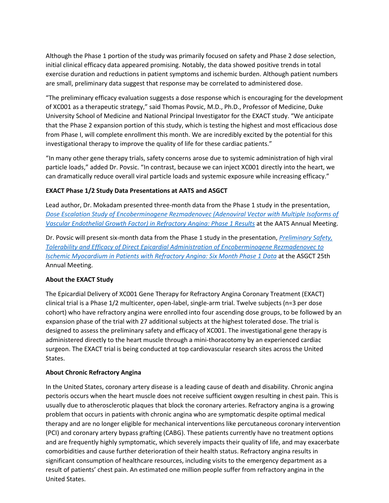Although the Phase 1 portion of the study was primarily focused on safety and Phase 2 dose selection, initial clinical efficacy data appeared promising. Notably, the data showed positive trends in total exercise duration and reductions in patient symptoms and ischemic burden. Although patient numbers are small, preliminary data suggest that response may be correlated to administered dose.

"The preliminary efficacy evaluation suggests a dose response which is encouraging for the development of XC001 as a therapeutic strategy," said Thomas Povsic, M.D., Ph.D., Professor of Medicine, Duke University School of Medicine and National Principal Investigator for the EXACT study. "We anticipate that the Phase 2 expansion portion of this study, which is testing the highest and most efficacious dose from Phase I, will complete enrollment this month. We are incredibly excited by the potential for this investigational therapy to improve the quality of life for these cardiac patients."

"In many other gene therapy trials, safety concerns arose due to systemic administration of high viral particle loads," added Dr. Povsic. "In contrast, because we can inject XC001 directly into the heart, we can dramatically reduce overall viral particle loads and systemic exposure while increasing efficacy."

## **EXACT Phase 1/2 Study Data Presentations at AATS and ASGCT**

Lead author, Dr. Mokadam presented three-month data from the Phase 1 study in the presentation, *[Dose Escalation Study of Encoberminogene Rezmadenovec \(Adenoviral Vector with Multiple Isoforms of](https://www.aats.org/resources/3113)  [Vascular Endothelial Growth Factor\) in Refractory Angina: Phase 1 Results](https://www.aats.org/resources/3113)* at the AATS Annual Meeting.

Dr. Povsic will present six-month data from the Phase 1 study in the presentation, *[Preliminary Safety,](https://annualmeeting.asgct.org/abstracts/abstract-details?abstractId=6913)  [Tolerability and Efficacy of Direct Epicardial Administration of Encoberminogene Rezmadenovec to](https://annualmeeting.asgct.org/abstracts/abstract-details?abstractId=6913)  [Ischemic Myocardium in Patients with Refractory Angina: Six Month Phase 1 Data](https://annualmeeting.asgct.org/abstracts/abstract-details?abstractId=6913)* at the ASGCT 25th Annual Meeting.

## **About the EXACT Study**

The Epicardial Delivery of XC001 Gene Therapy for Refractory Angina Coronary Treatment (EXACT) clinical trial is a Phase 1/2 multicenter, open-label, single-arm trial. Twelve subjects (n=3 per dose cohort) who have refractory angina were enrolled into four ascending dose groups, to be followed by an expansion phase of the trial with 27 additional subjects at the highest tolerated dose. The trial is designed to assess the preliminary safety and efficacy of XC001. The investigational gene therapy is administered directly to the heart muscle through a mini-thoracotomy by an experienced cardiac surgeon. The EXACT trial is being conducted at top cardiovascular research sites across the United States.

## **About Chronic Refractory Angina**

In the United States, coronary artery disease is a leading cause of death and disability. Chronic angina pectoris occurs when the heart muscle does not receive sufficient oxygen resulting in chest pain. This is usually due to atherosclerotic plaques that block the coronary arteries. Refractory angina is a growing problem that occurs in patients with chronic angina who are symptomatic despite optimal medical therapy and are no longer eligible for mechanical interventions like percutaneous coronary intervention (PCI) and coronary artery bypass grafting (CABG). These patients currently have no treatment options and are frequently highly symptomatic, which severely impacts their quality of life, and may exacerbate comorbidities and cause further deterioration of their health status. Refractory angina results in significant consumption of healthcare resources, including visits to the emergency department as a result of patients' chest pain. An estimated one million people suffer from refractory angina in the United States.